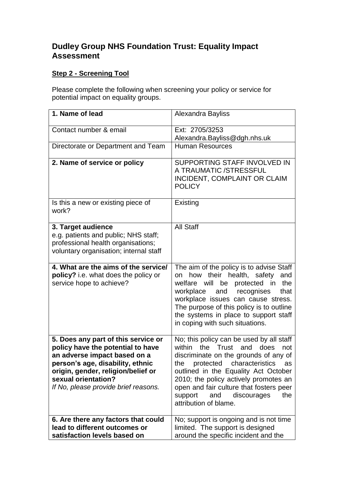## **Dudley Group NHS Foundation Trust: Equality Impact Assessment**

## **Step 2 - Screening Tool**

Please complete the following when screening your policy or service for potential impact on equality groups.

| 1. Name of lead                                                                                                                                                                                                                                   | Alexandra Bayliss                                                                                                                                                                                                                                                                                                                                               |
|---------------------------------------------------------------------------------------------------------------------------------------------------------------------------------------------------------------------------------------------------|-----------------------------------------------------------------------------------------------------------------------------------------------------------------------------------------------------------------------------------------------------------------------------------------------------------------------------------------------------------------|
| Contact number & email                                                                                                                                                                                                                            | Ext: 2705/3253<br>Alexandra.Bayliss@dgh.nhs.uk                                                                                                                                                                                                                                                                                                                  |
| Directorate or Department and Team                                                                                                                                                                                                                | <b>Human Resources</b>                                                                                                                                                                                                                                                                                                                                          |
| 2. Name of service or policy                                                                                                                                                                                                                      | SUPPORTING STAFF INVOLVED IN<br>A TRAUMATIC /STRESSFUL<br>INCIDENT, COMPLAINT OR CLAIM<br><b>POLICY</b>                                                                                                                                                                                                                                                         |
| Is this a new or existing piece of<br>work?                                                                                                                                                                                                       | Existing                                                                                                                                                                                                                                                                                                                                                        |
| 3. Target audience<br>e.g. patients and public; NHS staff;<br>professional health organisations;<br>voluntary organisation; internal staff                                                                                                        | <b>All Staff</b>                                                                                                                                                                                                                                                                                                                                                |
| 4. What are the aims of the service/<br>policy? i.e. what does the policy or<br>service hope to achieve?                                                                                                                                          | The aim of the policy is to advise Staff<br>their health, safety<br>how<br>and<br>on<br>the<br>welfare<br>will be<br>protected in<br>workplace and recognises<br>that<br>workplace issues can cause stress.<br>The purpose of this policy is to outline<br>the systems in place to support staff<br>in coping with such situations.                             |
| 5. Does any part of this service or<br>policy have the potential to have<br>an adverse impact based on a<br>person's age, disability, ethnic<br>origin, gender, religion/belief or<br>sexual orientation?<br>If No, please provide brief reasons. | No; this policy can be used by all staff<br>within<br>the Trust and does<br>not<br>discriminate on the grounds of any of<br>protected characteristics<br>the<br>as<br>outlined in the Equality Act October<br>2010; the policy actively promotes an<br>open and fair culture that fosters peer<br>support<br>discourages<br>and<br>the<br>attribution of blame. |
| 6. Are there any factors that could<br>lead to different outcomes or<br>satisfaction levels based on                                                                                                                                              | No; support is ongoing and is not time<br>limited. The support is designed<br>around the specific incident and the                                                                                                                                                                                                                                              |